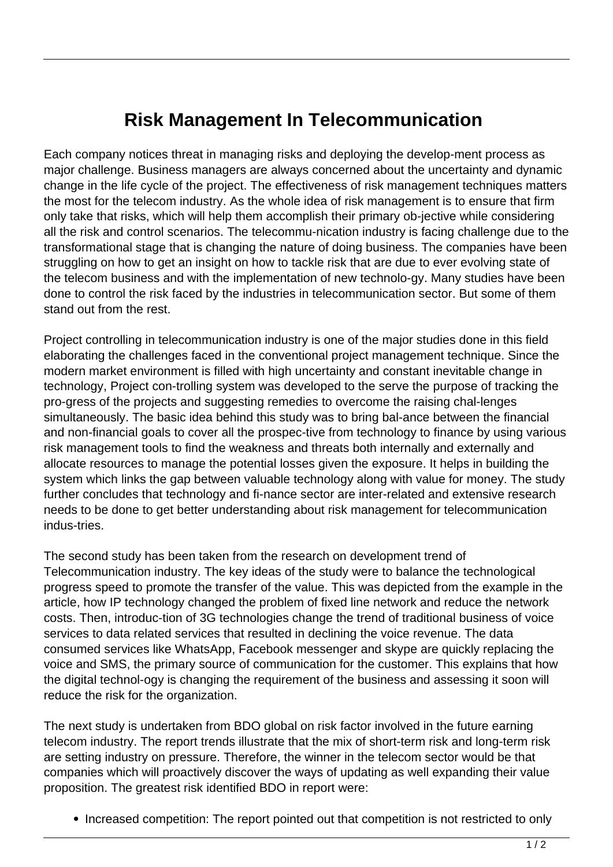## **Risk Management In Telecommunication**

Each company notices threat in managing risks and deploying the develop-ment process as major challenge. Business managers are always concerned about the uncertainty and dynamic change in the life cycle of the project. The effectiveness of risk management techniques matters the most for the telecom industry. As the whole idea of risk management is to ensure that firm only take that risks, which will help them accomplish their primary ob-jective while considering all the risk and control scenarios. The telecommu-nication industry is facing challenge due to the transformational stage that is changing the nature of doing business. The companies have been struggling on how to get an insight on how to tackle risk that are due to ever evolving state of the telecom business and with the implementation of new technolo-gy. Many studies have been done to control the risk faced by the industries in telecommunication sector. But some of them stand out from the rest.

Project controlling in telecommunication industry is one of the major studies done in this field elaborating the challenges faced in the conventional project management technique. Since the modern market environment is filled with high uncertainty and constant inevitable change in technology, Project con-trolling system was developed to the serve the purpose of tracking the pro-gress of the projects and suggesting remedies to overcome the raising chal-lenges simultaneously. The basic idea behind this study was to bring bal-ance between the financial and non-financial goals to cover all the prospec-tive from technology to finance by using various risk management tools to find the weakness and threats both internally and externally and allocate resources to manage the potential losses given the exposure. It helps in building the system which links the gap between valuable technology along with value for money. The study further concludes that technology and fi-nance sector are inter-related and extensive research needs to be done to get better understanding about risk management for telecommunication indus-tries.

The second study has been taken from the research on development trend of Telecommunication industry. The key ideas of the study were to balance the technological progress speed to promote the transfer of the value. This was depicted from the example in the article, how IP technology changed the problem of fixed line network and reduce the network costs. Then, introduc-tion of 3G technologies change the trend of traditional business of voice services to data related services that resulted in declining the voice revenue. The data consumed services like WhatsApp, Facebook messenger and skype are quickly replacing the voice and SMS, the primary source of communication for the customer. This explains that how the digital technol-ogy is changing the requirement of the business and assessing it soon will reduce the risk for the organization.

The next study is undertaken from BDO global on risk factor involved in the future earning telecom industry. The report trends illustrate that the mix of short-term risk and long-term risk are setting industry on pressure. Therefore, the winner in the telecom sector would be that companies which will proactively discover the ways of updating as well expanding their value proposition. The greatest risk identified BDO in report were:

• Increased competition: The report pointed out that competition is not restricted to only